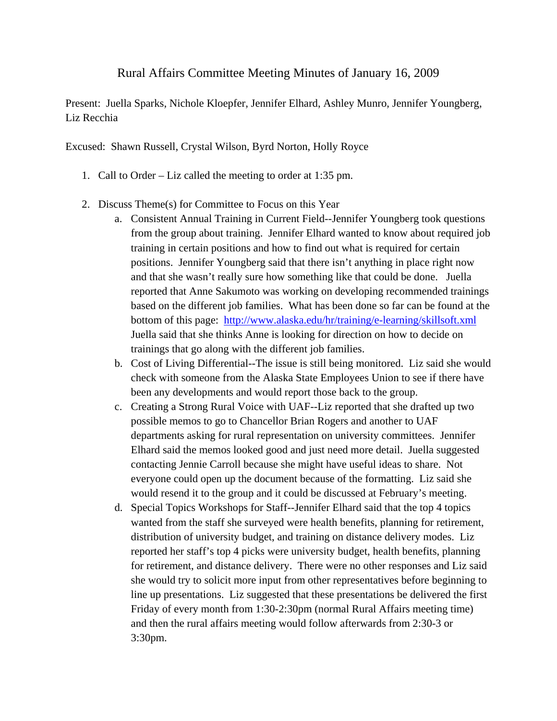## Rural Affairs Committee Meeting Minutes of January 16, 2009

Present: Juella Sparks, Nichole Kloepfer, Jennifer Elhard, Ashley Munro, Jennifer Youngberg, Liz Recchia

Excused: Shawn Russell, Crystal Wilson, Byrd Norton, Holly Royce

- 1. Call to Order Liz called the meeting to order at 1:35 pm.
- 2. Discuss Theme(s) for Committee to Focus on this Year
	- a. Consistent Annual Training in Current Field--Jennifer Youngberg took questions from the group about training. Jennifer Elhard wanted to know about required job training in certain positions and how to find out what is required for certain positions. Jennifer Youngberg said that there isn't anything in place right now and that she wasn't really sure how something like that could be done. Juella reported that Anne Sakumoto was working on developing recommended trainings based on the different job families. What has been done so far can be found at the bottom of this page: http://www.alaska.edu/hr/training/e-learning/skillsoft.xml Juella said that she thinks Anne is looking for direction on how to decide on trainings that go along with the different job families.
	- b. Cost of Living Differential--The issue is still being monitored. Liz said she would check with someone from the Alaska State Employees Union to see if there have been any developments and would report those back to the group.
	- c. Creating a Strong Rural Voice with UAF--Liz reported that she drafted up two possible memos to go to Chancellor Brian Rogers and another to UAF departments asking for rural representation on university committees. Jennifer Elhard said the memos looked good and just need more detail. Juella suggested contacting Jennie Carroll because she might have useful ideas to share. Not everyone could open up the document because of the formatting. Liz said she would resend it to the group and it could be discussed at February's meeting.
	- d. Special Topics Workshops for Staff--Jennifer Elhard said that the top 4 topics wanted from the staff she surveyed were health benefits, planning for retirement, distribution of university budget, and training on distance delivery modes. Liz reported her staff's top 4 picks were university budget, health benefits, planning for retirement, and distance delivery. There were no other responses and Liz said she would try to solicit more input from other representatives before beginning to line up presentations. Liz suggested that these presentations be delivered the first Friday of every month from 1:30-2:30pm (normal Rural Affairs meeting time) and then the rural affairs meeting would follow afterwards from 2:30-3 or 3:30pm.